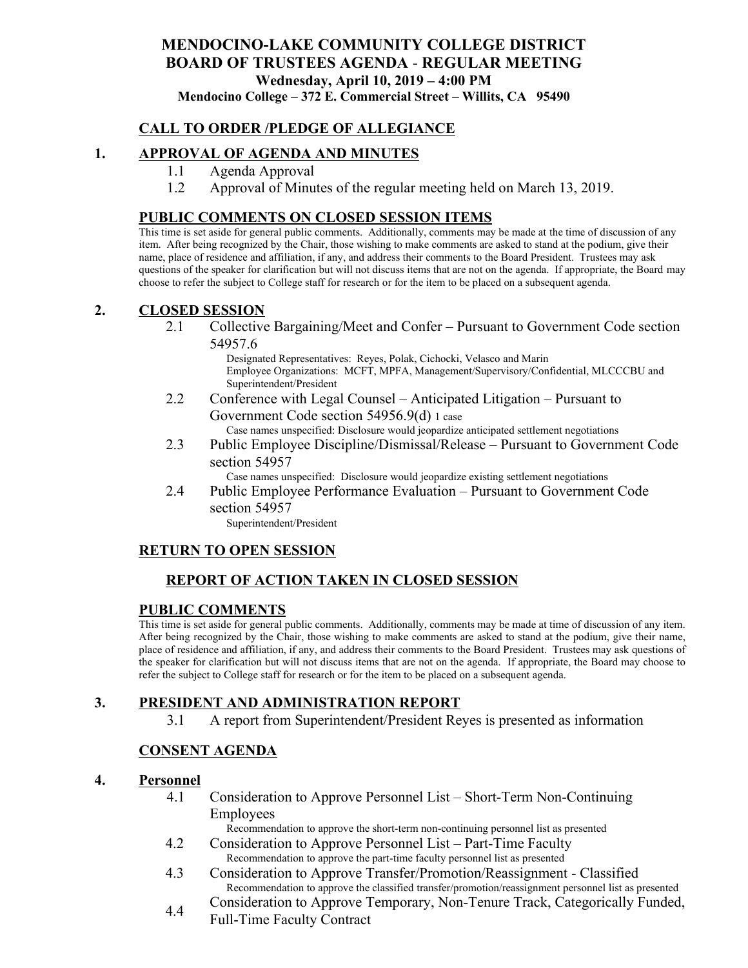# **MENDOCINO-LAKE COMMUNITY COLLEGE DISTRICT BOARD OF TRUSTEES AGENDA** - **REGULAR MEETING Wednesday, April 10, 2019 – 4:00 PM**

**Mendocino College – 372 E. Commercial Street – Willits, CA 95490**

# **CALL TO ORDER /PLEDGE OF ALLEGIANCE**

### **1. APPROVAL OF AGENDA AND MINUTES**

- 1.1 Agenda Approval
- 1.2 Approval of Minutes of the regular meeting held on March 13, 2019.

### **PUBLIC COMMENTS ON CLOSED SESSION ITEMS**

This time is set aside for general public comments. Additionally, comments may be made at the time of discussion of any item. After being recognized by the Chair, those wishing to make comments are asked to stand at the podium, give their name, place of residence and affiliation, if any, and address their comments to the Board President. Trustees may ask questions of the speaker for clarification but will not discuss items that are not on the agenda. If appropriate, the Board may choose to refer the subject to College staff for research or for the item to be placed on a subsequent agenda.

### **2. CLOSED SESSION**

2.1 Collective Bargaining/Meet and Confer – Pursuant to Government Code section 54957.6

> Designated Representatives: Reyes, Polak, Cichocki, Velasco and Marin Employee Organizations: MCFT, MPFA, Management/Supervisory/Confidential, MLCCCBU and Superintendent/President

- 2.2 Conference with Legal Counsel Anticipated Litigation Pursuant to Government Code section 54956.9(d) 1 case Case names unspecified: Disclosure would jeopardize anticipated settlement negotiations
- 2.3 Public Employee Discipline/Dismissal/Release Pursuant to Government Code section 54957

Case names unspecified: Disclosure would jeopardize existing settlement negotiations

2.4 Public Employee Performance Evaluation – Pursuant to Government Code section 54957

Superintendent/President

### **RETURN TO OPEN SESSION**

# **REPORT OF ACTION TAKEN IN CLOSED SESSION**

#### **PUBLIC COMMENTS**

This time is set aside for general public comments. Additionally, comments may be made at time of discussion of any item. After being recognized by the Chair, those wishing to make comments are asked to stand at the podium, give their name, place of residence and affiliation, if any, and address their comments to the Board President. Trustees may ask questions of the speaker for clarification but will not discuss items that are not on the agenda. If appropriate, the Board may choose to refer the subject to College staff for research or for the item to be placed on a subsequent agenda.

### **3. PRESIDENT AND ADMINISTRATION REPORT**

3.1 A report from Superintendent/President Reyes is presented as information

### **CONSENT AGENDA**

#### **4. Personnel**

4.1 Consideration to Approve Personnel List – Short-Term Non-Continuing Employees

Recommendation to approve the short-term non-continuing personnel list as presented

- 4.2 Consideration to Approve Personnel List Part-Time Faculty Recommendation to approve the part-time faculty personnel list as presented
- 4.3 Consideration to Approve Transfer/Promotion/Reassignment Classified Recommendation to approve the classified transfer/promotion/reassignment personnel list as presented
- 4.4 Consideration to Approve Temporary, Non-Tenure Track, Categorically Funded, Full-Time Faculty Contract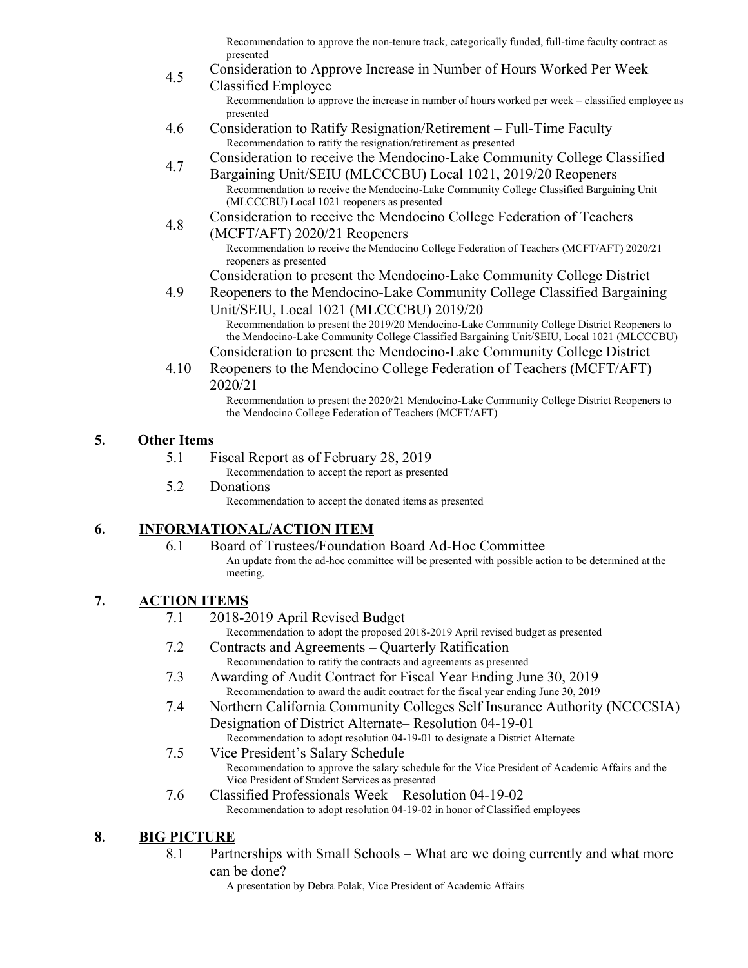Recommendation to approve the non-tenure track, categorically funded, full-time faculty contract as presented

- 4.5 Consideration to Approve Increase in Number of Hours Worked Per Week – Classified Employee Recommendation to approve the increase in number of hours worked per week – classified employee as presented
- 4.6 Consideration to Ratify Resignation/Retirement Full-Time Faculty Recommendation to ratify the resignation/retirement as presented
- 4.7 Consideration to receive the Mendocino-Lake Community College Classified
	- Bargaining Unit/SEIU (MLCCCBU) Local 1021, 2019/20 Reopeners Recommendation to receive the Mendocino-Lake Community College Classified Bargaining Unit (MLCCCBU) Local 1021 reopeners as presented
- 4.8 Consideration to receive the Mendocino College Federation of Teachers
	- (MCFT/AFT) 2020/21 Reopeners Recommendation to receive the Mendocino College Federation of Teachers (MCFT/AFT) 2020/21 reopeners as presented
		- Consideration to present the Mendocino-Lake Community College District
- 4.9 Reopeners to the Mendocino-Lake Community College Classified Bargaining Unit/SEIU, Local 1021 (MLCCCBU) 2019/20 Recommendation to present the 2019/20 Mendocino-Lake Community College District Reopeners to the Mendocino-Lake Community College Classified Bargaining Unit/SEIU, Local 1021 (MLCCCBU)
	- Consideration to present the Mendocino-Lake Community College District
- 4.10 Reopeners to the Mendocino College Federation of Teachers (MCFT/AFT) 2020/21

Recommendation to present the 2020/21 Mendocino-Lake Community College District Reopeners to the Mendocino College Federation of Teachers (MCFT/AFT)

# **5. Other Items**

5.1 Fiscal Report as of February 28, 2019

Recommendation to accept the report as presented

5.2 Donations

Recommendation to accept the donated items as presented

# **6. INFORMATIONAL/ACTION ITEM**

6.1 Board of Trustees/Foundation Board Ad-Hoc Committee An update from the ad-hoc committee will be presented with possible action to be determined at the meeting.

# **7. ACTION ITEMS**

- 7.1 2018-2019 April Revised Budget
	- Recommendation to adopt the proposed 2018-2019 April revised budget as presented
- 7.2 Contracts and Agreements Quarterly Ratification Recommendation to ratify the contracts and agreements as presented
- 7.3 Awarding of Audit Contract for Fiscal Year Ending June 30, 2019 Recommendation to award the audit contract for the fiscal year ending June 30, 2019
- 7.4 Northern California Community Colleges Self Insurance Authority (NCCCSIA) Designation of District Alternate– Resolution 04-19-01
	- Recommendation to adopt resolution 04-19-01 to designate a District Alternate
- 7.5 Vice President's Salary Schedule Recommendation to approve the salary schedule for the Vice President of Academic Affairs and the Vice President of Student Services as presented
- 7.6 Classified Professionals Week Resolution 04-19-02 Recommendation to adopt resolution 04-19-02 in honor of Classified employees

# **8. BIG PICTURE**

- 8.1 Partnerships with Small Schools What are we doing currently and what more can be done?
	- A presentation by Debra Polak, Vice President of Academic Affairs